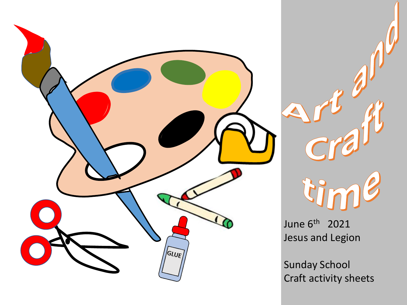



June 6<sup>th</sup> 2021 Jesus and Legion

Sunday School Craft activity sheets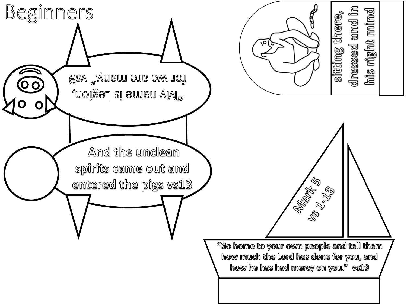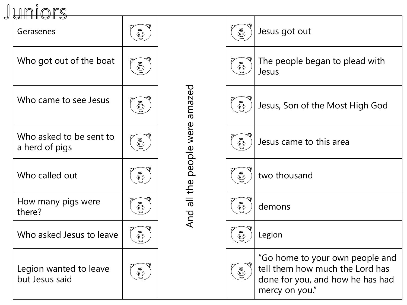| JUNIOIS                                   |                          |                         |                                        |                                                                                                                          |
|-------------------------------------------|--------------------------|-------------------------|----------------------------------------|--------------------------------------------------------------------------------------------------------------------------|
| Gerasenes                                 | $\overset{\circ}{\odot}$ |                         | $\overset{\circ}{\odot}$               | Jesus got out                                                                                                            |
| Who got out of the boat                   | $\overset{\circ}{\odot}$ |                         | $\overset{\circ}{\odot}$               | The people began to plead with<br>Jesus                                                                                  |
| Who came to see Jesus                     | $\bigodot^\infty_\infty$ | amazed                  | $\odot^\circ$                          | Jesus, Son of the Most High God                                                                                          |
| Who asked to be sent to<br>a herd of pigs | $\overset{\circ}{\odot}$ | And all the people were | $\odot$                                | Jesus came to this area                                                                                                  |
| Who called out                            | $\widetilde{\mathbb{C}}$ |                         | $\overset{\circ}{\odot}$               | two thousand                                                                                                             |
| How many pigs were<br>there?              | $\overset{\circ}{\odot}$ |                         | $\overset{\circledcirc}{\circledcirc}$ | demons                                                                                                                   |
| Who asked Jesus to leave                  | $\overline{\mathbb{O}}$  |                         | $\overset{\circledcirc}{\odot}$        | Legion                                                                                                                   |
| Legion wanted to leave<br>but Jesus said  | $\widetilde{\mathbb{C}}$ |                         | $\overset{\circ}{\odot}$               | "Go home to your own people and<br>tell them how much the Lord has<br>done for you, and how he has had<br>mercy on you." |